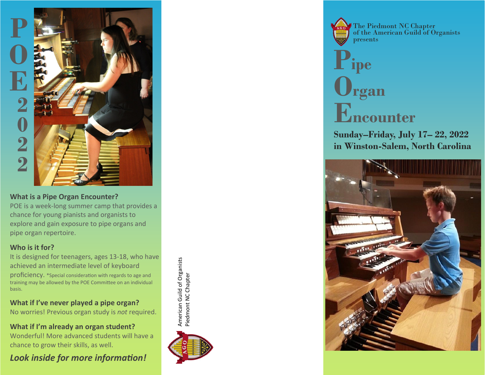

# **What is a Pipe Organ Encounter?**

POE is a week -long summer camp that provides a chance for young pianists and organists to explore and gain exposure to pipe organs and pipe organ repertoire.

# **Who is it for?**

It is designed for teenagers, ages 13 -18, who have achieved an intermediate level of keyboard proficiency. \*Special consideration with regards to age and training may be allowed by the POE Committee on an individual basis.

**What if I 've never played a pipe organ?** No worries! Previous organ study is *not* required.

**What if I 'm already an organ student?** Wonderful! More advanced students will have a chance to grow their skills, as well.

*Look inside for more information!*



American Guild of Organists Piedmont NC Chapter

**American Guild of Organists** Piedmont NC Chapter presents

The Piedmont NC Chapter of the American Guild of Organists

# **Pipe Organ Encounter**

**Sunday –Friday, July 17 – 22, 2022 in Winston -Salem, North Carolina**